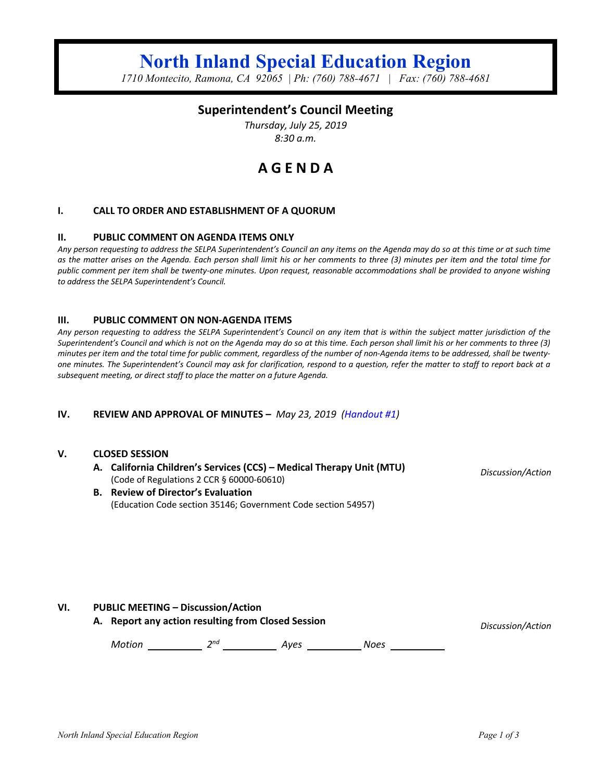# **North Inland Special Education Region**

*1710 Montecito, Ramona, CA 92065 | Ph: (760) 788-4671 | Fax: (760) 788-4681*

## **Superintendent's Council Meeting**

*Thursday, July 25, 2019 8:30 a.m.*

## **A G E N D A**

#### **I. CALL TO ORDER AND ESTABLISHMENT OF A QUORUM**

#### **II. PUBLIC COMMENT ON AGENDA ITEMS ONLY**

*Any person requesting to address the SELPA Superintendent's Council an any items on the Agenda may do so at this time or at such time as the matter arises on the Agenda. Each person shall limit his or her comments to three (3) minutes per item and the total time for public comment per item shall be twenty-one minutes. Upon request, reasonable accommodations shall be provided to anyone wishing to address the SELPA Superintendent's Council.*

#### **III. PUBLIC COMMENT ON NON-AGENDA ITEMS**

*Any person requesting to address the SELPA Superintendent's Council on any item that is within the subject matter jurisdiction of the Superintendent's Council and which is not on the Agenda may do so at this time. Each person shall limit his or her comments to three (3) minutes per item and the total time for public comment, regardless of the number of non-Agenda items to be addressed, shall be twentyone minutes. The Superintendent's Council may ask for clarification, respond to a question, refer the matter to staff to report back at a subsequent meeting, or direct staff to place the matter on a future Agenda.*

#### **IV. REVIEW AND APPROVAL OF MINUTES –** *May 23, 2019 (Handout #1)*

#### **V. CLOSED SESSION**

**A. California Children's Services (CCS) – Medical Therapy Unit (MTU)** (Code of Regulations 2 CCR § 60000-60610)

*Discussion/Action*

#### **B. Review of Director's Evaluation** (Education Code section 35146; Government Code section 54957)

#### **VI. PUBLIC MEETING – Discussion/Action**

**A. Report any action resulting from Closed Session** *Discussion/Action*

*Motion 2nd Ayes Noes*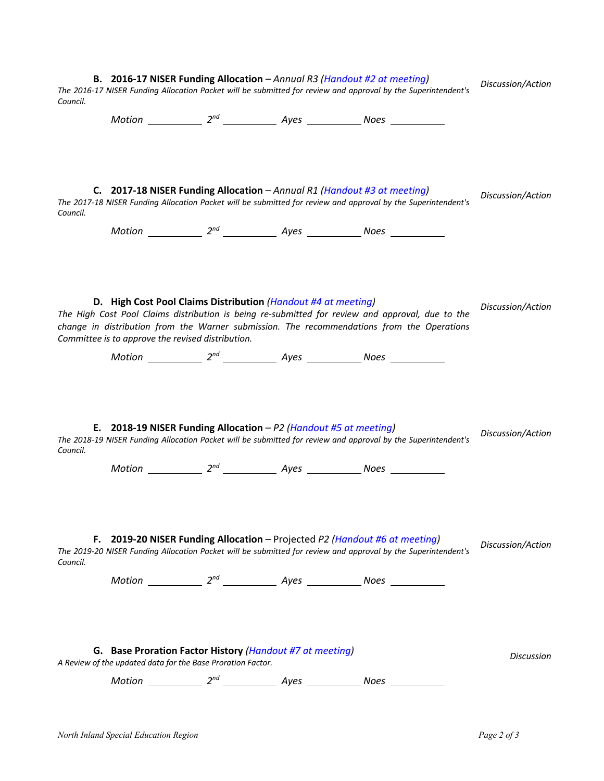| B. 2016-17 NISER Funding Allocation - Annual R3 (Handout #2 at meeting)<br>The 2016-17 NISER Funding Allocation Packet will be submitted for review and approval by the Superintendent's<br>Council. |                                                                                                                                                 |  |  |                                                                                                                                                                                                | Discussion/Action |
|------------------------------------------------------------------------------------------------------------------------------------------------------------------------------------------------------|-------------------------------------------------------------------------------------------------------------------------------------------------|--|--|------------------------------------------------------------------------------------------------------------------------------------------------------------------------------------------------|-------------------|
|                                                                                                                                                                                                      |                                                                                                                                                 |  |  |                                                                                                                                                                                                |                   |
| Council.                                                                                                                                                                                             | C. 2017-18 NISER Funding Allocation - Annual R1 (Handout #3 at meeting)<br>$Motion$ $2^{nd}$ $\_\_\_\_$ $Ayes$ $\_\_\_\_\_$ Noes $\_\_\_\_\_\_$ |  |  | The 2017-18 NISER Funding Allocation Packet will be submitted for review and approval by the Superintendent's                                                                                  | Discussion/Action |
|                                                                                                                                                                                                      | D. High Cost Pool Claims Distribution (Handout #4 at meeting)                                                                                   |  |  | The High Cost Pool Claims distribution is being re-submitted for review and approval, due to the<br>change in distribution from the Warner submission. The recommendations from the Operations | Discussion/Action |
|                                                                                                                                                                                                      | Committee is to approve the revised distribution.                                                                                               |  |  |                                                                                                                                                                                                |                   |
|                                                                                                                                                                                                      | Motion 2 <sup>nd</sup> 2 <sup>nd</sup> Ayes 2008 Noes                                                                                           |  |  |                                                                                                                                                                                                |                   |
| Council.                                                                                                                                                                                             | E. 2018-19 NISER Funding Allocation - P2 (Handout #5 at meeting)<br>$Motion$ $2^{nd}$ $\_\_\_\_$ $Ayes$ $\_\_\_\_\_$ Noes $\_\_\_\_\_\_$        |  |  | The 2018-19 NISER Funding Allocation Packet will be submitted for review and approval by the Superintendent's                                                                                  | Discussion/Action |
| Council.                                                                                                                                                                                             | F. 2019-20 NISER Funding Allocation - Projected P2 (Handout #6 at meeting)                                                                      |  |  | The 2019-20 NISER Funding Allocation Packet will be submitted for review and approval by the Superintendent's                                                                                  | Discussion/Action |
| G. Base Proration Factor History (Handout #7 at meeting)<br>A Review of the updated data for the Base Proration Factor.                                                                              |                                                                                                                                                 |  |  |                                                                                                                                                                                                | Discussion        |
|                                                                                                                                                                                                      |                                                                                                                                                 |  |  |                                                                                                                                                                                                |                   |